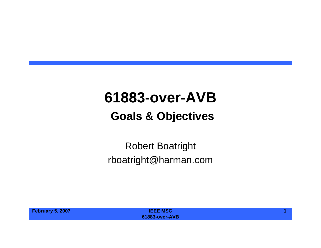### **61883-over-AVB**

#### **Goals & Objectives**

#### Robert Boatright rboatright@harman.com

| <b>February 5, 2007</b> | <b>IEEE MSC</b>       |  |
|-------------------------|-----------------------|--|
|                         | <b>61883-over-AVB</b> |  |
|                         |                       |  |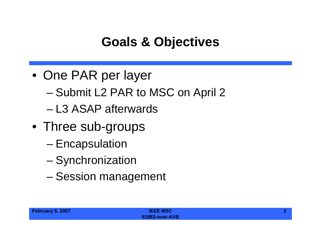# **Goals & Objectives**

- One PAR per layer
	- Submit L2 PAR to MSC on April 2
	- L3 ASAP afterwards
- Three sub-groups
	- Encapsulation
	- –**Synchronization**
	- –Session management

| February 5, 2007 | <b>IEEE MSC</b>       |  |
|------------------|-----------------------|--|
|                  | <b>61883-over-AVB</b> |  |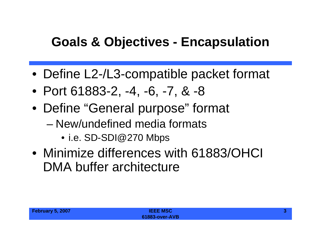### **Goals & Objectives - Encapsulation**

- Define L2-/L3-compatible packet format
- Port 61883-2, -4, -6, -7, & -8
- Define "General purpose" format
	- New/undefined media formats
		- i.e. SD-SDI@270 Mbps
- Minimize differences with 61883/OHCI DMA buffer architecture

| February 5, 2007 | <b>IEEE MSC</b>       |  |
|------------------|-----------------------|--|
|                  | <b>61883-over-AVB</b> |  |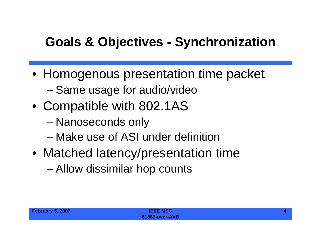# **Goals & Objectives - Synchronization**

- Homogenous presentation time packet
	- –Same usage for audio/video
- Compatible with 802.1AS
	- –Nanoseconds only
	- Make use of ASI under definition
- Matched latency/presentation time
	- –Allow dissimilar hop counts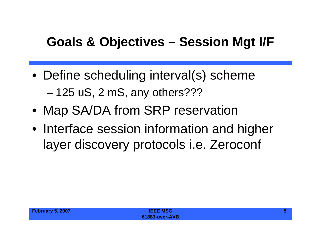### **Goals & Objectives – Session Mgt I/F**

- Define scheduling interval(s) scheme 125 uS, 2 mS, any others???
- Map SA/DA from SRP reservation
- Interface session information and higher layer discovery protocols i.e. Zeroconf